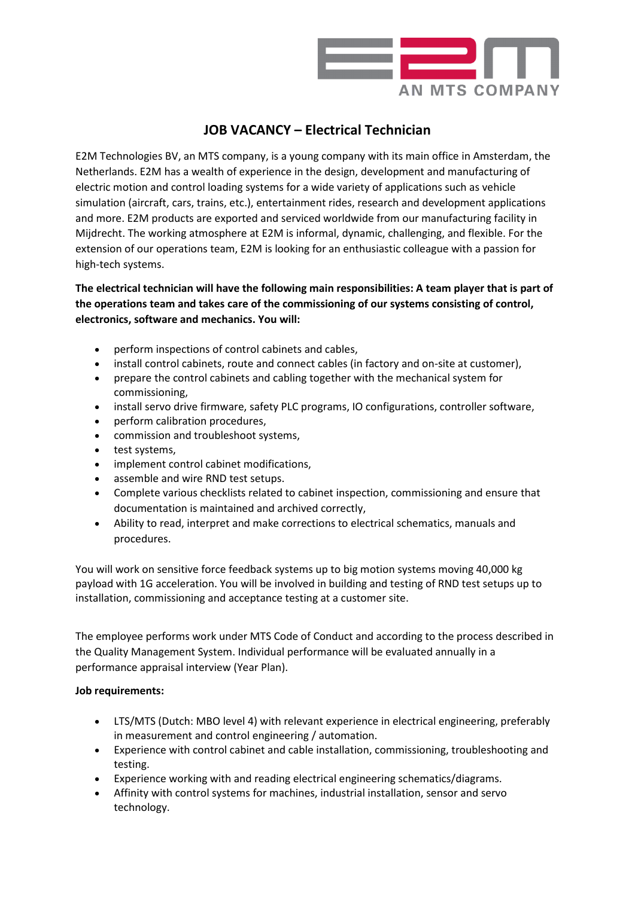

## **JOB VACANCY – Electrical Technician**

E2M Technologies BV, an MTS company, is a young company with its main office in Amsterdam, the Netherlands. E2M has a wealth of experience in the design, development and manufacturing of electric motion and control loading systems for a wide variety of applications such as vehicle simulation (aircraft, cars, trains, etc.), entertainment rides, research and development applications and more. E2M products are exported and serviced worldwide from our manufacturing facility in Mijdrecht. The working atmosphere at E2M is informal, dynamic, challenging, and flexible. For the extension of our operations team, E2M is looking for an enthusiastic colleague with a passion for high-tech systems.

**The electrical technician will have the following main responsibilities: A team player that is part of the operations team and takes care of the commissioning of our systems consisting of control, electronics, software and mechanics. You will:**

- perform inspections of control cabinets and cables,
- install control cabinets, route and connect cables (in factory and on-site at customer),
- prepare the control cabinets and cabling together with the mechanical system for commissioning,
- install servo drive firmware, safety PLC programs, IO configurations, controller software,
- perform calibration procedures,
- commission and troubleshoot systems,
- test systems,
- implement control cabinet modifications,
- assemble and wire RND test setups.
- Complete various checklists related to cabinet inspection, commissioning and ensure that documentation is maintained and archived correctly,
- Ability to read, interpret and make corrections to electrical schematics, manuals and procedures.

You will work on sensitive force feedback systems up to big motion systems moving 40,000 kg payload with 1G acceleration. You will be involved in building and testing of RND test setups up to installation, commissioning and acceptance testing at a customer site.

The employee performs work under MTS Code of Conduct and according to the process described in the Quality Management System. Individual performance will be evaluated annually in a performance appraisal interview (Year Plan).

## **Job requirements:**

- LTS/MTS (Dutch: MBO level 4) with relevant experience in electrical engineering, preferably in measurement and control engineering / automation.
- Experience with control cabinet and cable installation, commissioning, troubleshooting and testing.
- Experience working with and reading electrical engineering schematics/diagrams.
- Affinity with control systems for machines, industrial installation, sensor and servo technology.